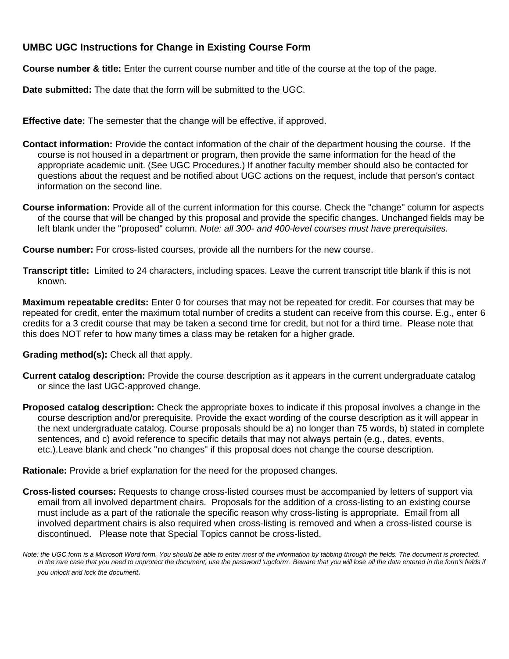# **UMBC UGC Instructions for Change in Existing Course Form**

**Course number & title:** Enter the current course number and title of the course at the top of the page.

**Date submitted:** The date that the form will be submitted to the UGC.

**Effective date:** The semester that the change will be effective, if approved.

- **Contact information:** Provide the contact information of the chair of the department housing the course. If the course is not housed in a department or program, then provide the same information for the head of the appropriate academic unit. (See UGC Procedures.) If another faculty member should also be contacted for questions about the request and be notified about UGC actions on the request, include that person's contact information on the second line.
- **Course information:** Provide all of the current information for this course. Check the "change" column for aspects of the course that will be changed by this proposal and provide the specific changes. Unchanged fields may be left blank under the "proposed" column. *Note: all 300- and 400-level courses must have prerequisites.*

**Course number:** For cross-listed courses, provide all the numbers for the new course.

**Transcript title:** Limited to 24 characters, including spaces. Leave the current transcript title blank if this is not known.

**Maximum repeatable credits:** Enter 0 for courses that may not be repeated for credit. For courses that may be repeated for credit, enter the maximum total number of credits a student can receive from this course. E.g., enter 6 credits for a 3 credit course that may be taken a second time for credit, but not for a third time. Please note that this does NOT refer to how many times a class may be retaken for a higher grade.

**Grading method(s):** Check all that apply.

- **Current catalog description:** Provide the course description as it appears in the current undergraduate catalog or since the last UGC-approved change.
- **Proposed catalog description:** Check the appropriate boxes to indicate if this proposal involves a change in the course description and/or prerequisite. Provide the exact wording of the course description as it will appear in the next undergraduate catalog. Course proposals should be a) no longer than 75 words, b) stated in complete sentences, and c) avoid reference to specific details that may not always pertain (e.g., dates, events, etc.).Leave blank and check "no changes" if this proposal does not change the course description.

**Rationale:** Provide a brief explanation for the need for the proposed changes.

**Cross-listed courses:** Requests to change cross-listed courses must be accompanied by letters of support via email from all involved department chairs. Proposals for the addition of a cross-listing to an existing course must include as a part of the rationale the specific reason why cross-listing is appropriate. Email from all involved department chairs is also required when cross-listing is removed and when a cross-listed course is discontinued. Please note that Special Topics cannot be cross-listed.

*Note: the UGC form is a Microsoft Word form. You should be able to enter most of the information by tabbing through the fields. The document is protected.*  In the rare case that you need to unprotect the document, use the password 'ugcform'. Beware that you will lose all the data entered in the form's fields if *you unlock and lock the document.*